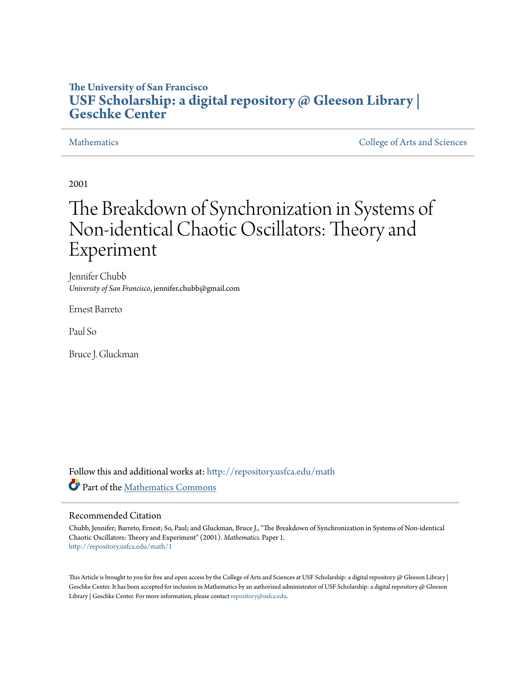## **The University of San Francisco [USF Scholarship: a digital repository @ Gleeson Library |](http://repository.usfca.edu?utm_source=repository.usfca.edu%2Fmath%2F1&utm_medium=PDF&utm_campaign=PDFCoverPages) [Geschke Center](http://repository.usfca.edu?utm_source=repository.usfca.edu%2Fmath%2F1&utm_medium=PDF&utm_campaign=PDFCoverPages)**

[Mathematics](http://repository.usfca.edu/math?utm_source=repository.usfca.edu%2Fmath%2F1&utm_medium=PDF&utm_campaign=PDFCoverPages) [College of Arts and Sciences](http://repository.usfca.edu/artsci?utm_source=repository.usfca.edu%2Fmath%2F1&utm_medium=PDF&utm_campaign=PDFCoverPages)

2001

# The Breakdown of Synchronization in Systems of Non-identical Chaotic Oscillators: Theory and Experiment

Jennifer Chubb *University of San Francisco*, jennifer.chubb@gmail.com

Ernest Barreto

Paul So

Bruce J. Gluckman

Follow this and additional works at: [http://repository.usfca.edu/math](http://repository.usfca.edu/math?utm_source=repository.usfca.edu%2Fmath%2F1&utm_medium=PDF&utm_campaign=PDFCoverPages) Part of the [Mathematics Commons](http://network.bepress.com/hgg/discipline/174?utm_source=repository.usfca.edu%2Fmath%2F1&utm_medium=PDF&utm_campaign=PDFCoverPages)

#### Recommended Citation

Chubb, Jennifer; Barreto, Ernest; So, Paul; and Gluckman, Bruce J., "The Breakdown of Synchronization in Systems of Non-identical Chaotic Oscillators: Theory and Experiment" (2001). *Mathematics.* Paper 1. [http://repository.usfca.edu/math/1](http://repository.usfca.edu/math/1?utm_source=repository.usfca.edu%2Fmath%2F1&utm_medium=PDF&utm_campaign=PDFCoverPages)

This Article is brought to you for free and open access by the College of Arts and Sciences at USF Scholarship: a digital repository @ Gleeson Library | Geschke Center. It has been accepted for inclusion in Mathematics by an authorized administrator of USF Scholarship: a digital repository @ Gleeson Library | Geschke Center. For more information, please contact [repository@usfca.edu.](mailto:repository@usfca.edu)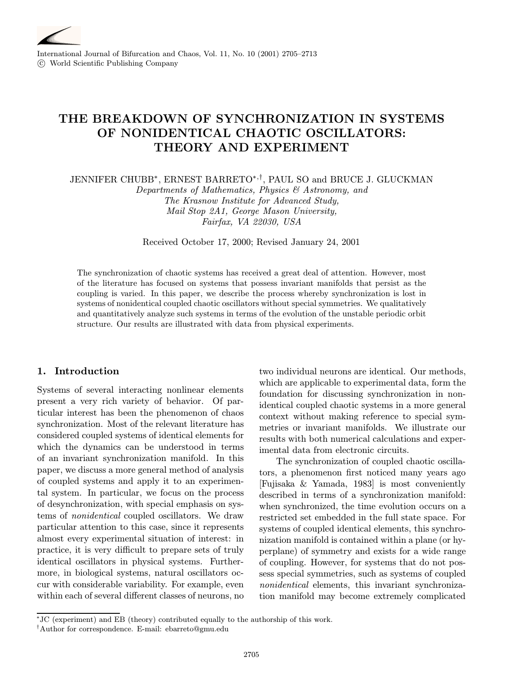

International Journal of Bifurcation and Chaos, Vol. 11, No. 10 (2001) 2705–2713 c World Scientific Publishing Company

## THE BREAKDOWN OF SYNCHRONIZATION IN SYSTEMS OF NONIDENTICAL CHAOTIC OSCILLATORS: THEORY AND EXPERIMENT

JENNIFER CHUBB∗, ERNEST BARRETO∗,†, PAUL SO and BRUCE J. GLUCKMAN

Departments of Mathematics, Physics & Astronomy, and The Krasnow Institute for Advanced Study, Mail Stop 2A1, George Mason University, Fairfax, VA 22030, USA

Received October17, 2000; Revised January 24, 2001

The synchronization of chaotic systems has received a great deal of attention. However, most of the literature has focused on systems that possess invariant manifolds that persist as the coupling is varied. In this paper, we describe the process whereby synchronization is lost in systems of nonidentical coupled chaotic oscillators without special symmetries. We qualitatively and quantitatively analyze such systems in terms of the evolution of the unstable periodic orbit structure. Our results are illustrated with data from physical experiments.

### 1. Introduction

Systems of several interacting nonlinear elements present a very rich variety of behavior. Of particular interest has been the phenomenon of chaos synchronization. Most of the relevant literature has considered coupled systems of identical elements for which the dynamics can be understood in terms of an invariant synchronization manifold. In this paper, we discuss a more general method of analysis of coupled systems and apply it to an experimental system. In particular, we focus on the process of desynchronization, with special emphasis on systems of nonidentical coupled oscillators. We draw particular attention to this case, since it represents almost every experimental situation of interest: in practice, it is very difficult to prepare sets of truly identical oscillators in physical systems. Furthermore, in biological systems, natural oscillators occur with considerable variability. For example, even within each of several different classes of neurons, no two individual neurons are identical. Our methods, which are applicable to experimental data, form the foundation for discussing synchronization in nonidentical coupled chaotic systems in a more general context without making reference to special symmetries or invariant manifolds. We illustrate our results with both numerical calculations and experimental data from electronic circuits.

The synchronization of coupled chaotic oscillators, a phenomenon first noticed many years ago [Fujisaka & Yamada, 1983] is most conveniently described in terms of a synchronization manifold: when synchronized, the time evolution occurs on a restricted set embedded in the full state space. For systems of coupled identical elements, this synchronization manifold is contained within a plane (or hyperplane) of symmetry and exists for a wide range of coupling. However, for systems that do not possess special symmetries, such as systems of coupled nonidentical elements, this invariant synchronization manifold may become extremely complicated

<sup>∗</sup>JC (experiment) and EB (theory) contributed equally to the authorship of this work.

<sup>†</sup>Author for correspondence. E-mail: ebarreto@gmu.edu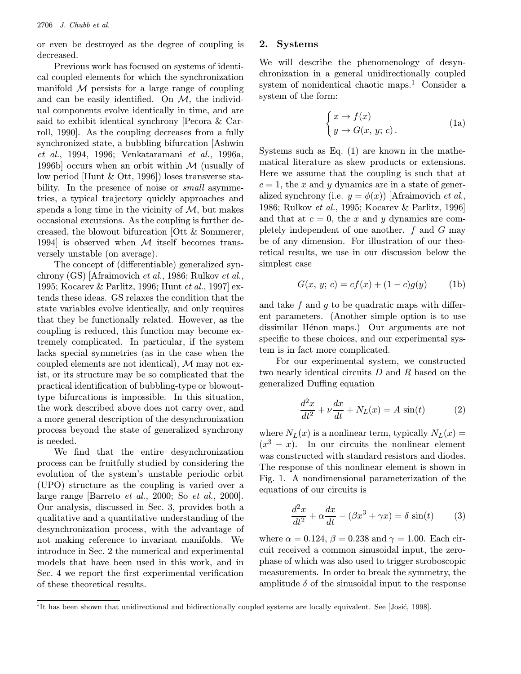or even be destroyed as the degree of coupling is decreased.

Previous work has focused on systems of identical coupled elements for which the synchronization manifold  $M$  persists for a large range of coupling and can be easily identified. On  $M$ , the individual components evolve identically in time, and are said to exhibit identical synchrony [Pecora & Carroll, 1990]. As the coupling decreases from a fully synchronized state, a bubbling bifurcation [Ashwin et al., 1994, 1996; Venkataramani et al., 1996a, 1996b] occurs when an orbit within  $\mathcal M$  (usually of low period [Hunt & Ott, 1996]) loses transverse stability. In the presence of noise or *small* asymmetries, a typical trajectory quickly approaches and spends a long time in the vicinity of  $M$ , but makes occasional excursions. As the coupling is further decreased, the blowout bifurcation [Ott & Sommerer, 1994] is observed when  $M$  itself becomes transversely unstable (on average).

The concept of (differentiable) generalized synchrony (GS) [Afraimovich et al., 1986; Rulkov et al., 1995; Kocarev & Parlitz, 1996; Hunt et al., 1997] extends these ideas. GS relaxes the condition that the state variables evolve identically, and only requires that they be functionally related. However, as the coupling is reduced, this function may become extremely complicated. In particular, if the system lacks special symmetries (as in the case when the coupled elements are not identical),  $M$  may not exist, or its structure may be so complicated that the practical identification of bubbling-type or blowouttype bifurcations is impossible. In this situation, the work described above does not carry over, and a more general description of the desynchronization process beyond the state of generalized synchrony is needed.

We find that the entire desynchronization process can be fruitfully studied by considering the evolution of the system's unstable periodic orbit (UPO) structure as the coupling is varied over a large range [Barreto et al., 2000; So et al., 2000]. Ouranalysis, discussed in Sec. 3, provides both a qualitative and a quantitative understanding of the desynchronization process, with the advantage of not making reference to invariant manifolds. We introduce in Sec. 2 the numerical and experimental models that have been used in this work, and in Sec. 4 we report the first experimental verification of these theoretical results.

#### 2. Systems

We will describe the phenomenology of desynchronization in a general unidirectionally coupled system of nonidentical chaotic maps.<sup>1</sup> Consider a system of the form:

$$
\begin{cases} x \to f(x) \\ y \to G(x, y; c). \end{cases}
$$
 (1a)

Systems such as Eq. (1) are known in the mathematical literature as skew products or extensions. Here we assume that the coupling is such that at  $c = 1$ , the x and y dynamics are in a state of generalized synchrony (i.e.  $y = \phi(x)$ ) [Afraimovich *et al.*, 1986; Rulkov et al., 1995; Kocarev & Parlitz, 1996] and that at  $c = 0$ , the x and y dynamics are completely independent of one another.  $f$  and  $G$  may be of any dimension. For illustration of our theoretical results, we use in our discussion below the simplest case

$$
G(x, y; c) = cf(x) + (1 - c)g(y)
$$
 (1b)

and take f and g to be quadratic maps with different parameters. (Another simple option is to use dissimilar Hénon maps.) Our arguments are not specific to these choices, and our experimental system is in fact more complicated.

For our experimental system, we constructed two nearly identical circuits D and R based on the generalized Duffing equation

$$
\frac{d^2x}{dt^2} + \nu \frac{dx}{dt} + N_L(x) = A \sin(t) \tag{2}
$$

where  $N_L(x)$  is a nonlinear term, typically  $N_L(x) =$  $(x^3 - x)$ . In our circuits the nonlinear element was constructed with standard resistors and diodes. The response of this nonlinear element is shown in Fig. 1. A nondimensional parameterization of the equations of our circuits is

$$
\frac{d^2x}{dt^2} + \alpha \frac{dx}{dt} - (\beta x^3 + \gamma x) = \delta \sin(t) \qquad (3)
$$

where  $\alpha = 0.124$ ,  $\beta = 0.238$  and  $\gamma = 1.00$ . Each circuit received a common sinusoidal input, the zerophase of which was also used to trigger stroboscopic measurements. In order to break the symmetry, the amplitude  $\delta$  of the sinusoidal input to the response

<sup>&</sup>lt;sup>1</sup>It has been shown that unidirectional and bidirectionally coupled systems are locally equivalent. See [Josić, 1998].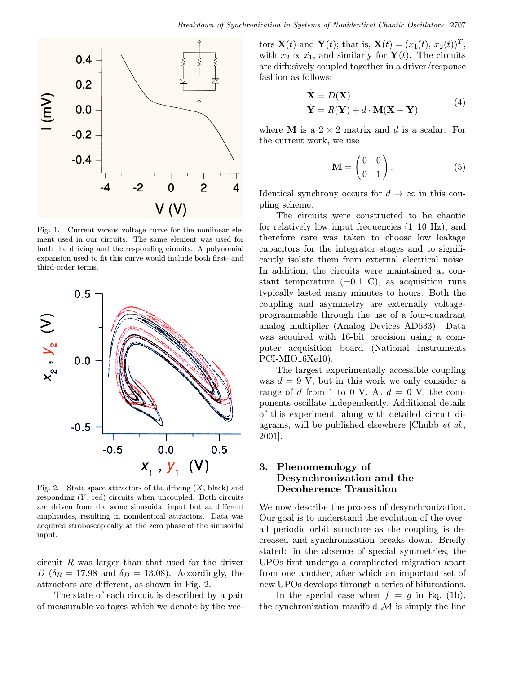

Fig. 1. Current versus voltage curve for the nonlinear element used in our circuits. The same element was used for both the driving and the responding circuits. A polynomial expansion used to fit this curve would include both first- and third-order terms.



Fig. 2. State space attractors of the driving  $(X, \text{ black})$  and responding  $(Y, \text{ red})$  circuits when uncoupled. Both circuits are driven from the same sinusoidal input but at different amplitudes, resulting in nonidentical attractors. Data was acquired stroboscopically at the zero phase of the sinusoidal input.

circuit R was larger than that used for the driver  $D\left(\delta_R=17.98\right)$  and  $\delta_D=13.08$ ). Accordingly, the attractors are different, as shown in Fig. 2.

The state of each circuit is described by a pair of measurable voltages which we denote by the vec-

tors  $\mathbf{X}(t)$  and  $\mathbf{Y}(t)$ ; that is,  $\mathbf{X}(t)=(x_1(t), x_2(t))^T$ , with  $x_2 \propto \dot{x_1}$ , and similarly for  $\mathbf{Y}(t)$ . The circuits are diffusively coupled together in a driver/response fashion as follows:

$$
\dot{\mathbf{X}} = D(\mathbf{X})
$$
\n
$$
\dot{\mathbf{Y}} = R(\mathbf{Y}) + d \cdot \mathbf{M}(\mathbf{X} - \mathbf{Y})
$$
\n(4)

where **M** is a  $2 \times 2$  matrix and d is a scalar. For the current work, we use

$$
\mathbf{M} = \begin{pmatrix} 0 & 0 \\ 0 & 1 \end{pmatrix} . \tag{5}
$$

Identical synchrony occurs for  $d \to \infty$  in this coupling scheme.

The circuits were constructed to be chaotic for relatively low input frequencies  $(1-10 \text{ Hz})$ , and therefore care was taken to choose low leakage capacitors for the integrator stages and to significantly isolate them from external electrical noise. In addition, the circuits were maintained at constant temperature  $(\pm 0.1 \, \text{C})$ , as acquisition runs typically lasted many minutes to hours. Both the coupling and asymmetry are externally voltageprogrammable through the use of a four-quadrant analog multiplier(Analog Devices AD633). Data was acquired with 16-bit precision using a computer acquisition board (National Instruments PCI-MIO16Xe10).

The largest experimentally accessible coupling was  $d = 9$  V, but in this work we only consider a range of d from 1 to 0 V. At  $d = 0$  V, the components oscillate independently. Additional details of this experiment, along with detailed circuit diagrams, will be published elsewhere [Chubb et al., 2001].

### 3. Phenomenology of Desynchronization and the Decoherence Transition

We now describe the process of desynchronization. Our goal is to understand the evolution of the overall periodic orbit structure as the coupling is decreased and synchronization breaks down. Briefly stated: in the absence of special symmetries, the UPOs first undergo a complicated migration apart from one another, after which an important set of new UPOs develops through a series of bifurcations.

In the special case when  $f = g$  in Eq. (1b), the synchronization manifold  $\mathcal M$  is simply the line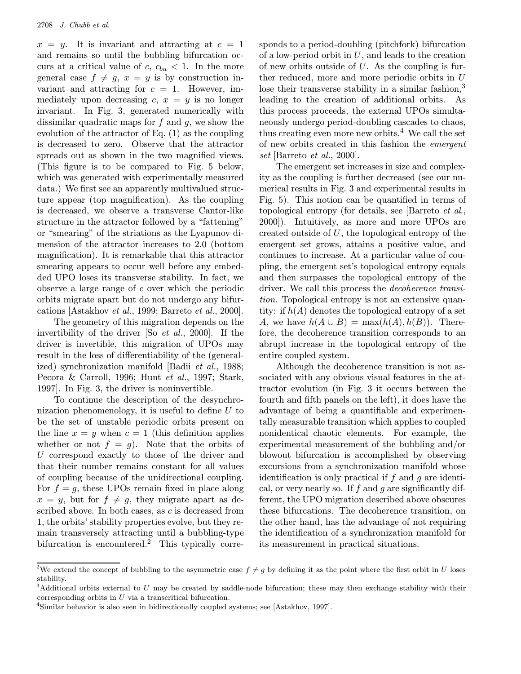$x = y$ . It is invariant and attracting at  $c = 1$ and remains so until the bubbling bifurcation occurs at a critical value of  $c, c_{bu} < 1$ . In the more general case  $f \neq g$ ,  $x = y$  is by construction invariant and attracting for  $c = 1$ . However, immediately upon decreasing  $c, x = y$  is no longer invariant. In Fig. 3, generated numerically with dissimilar quadratic maps for  $f$  and  $g$ , we show the evolution of the attractor of Eq. (1) as the coupling is decreased to zero. Observe that the attractor spreads out as shown in the two magnified views. (This figure is to be compared to Fig. 5 below, which was generated with experimentally measured data.) We first see an apparently multivalued structure appear (top magnification). As the coupling is decreased, we observe a transverse Cantor-like structure in the attractor followed by a "fattening" or "smearing" of the striations as the Lyapunov dimension of the attractor increases to 2.0 (bottom magnification). It is remarkable that this attractor smearing appears to occur well before any embedded UPO loses its transverse stability. In fact, we observe a large range of  $c$  over which the periodic orbits migrate apart but do not undergo any bifurcations [Astakhov et al., 1999; Barreto et al., 2000].

The geometry of this migration depends on the invertibility of the driver [So et al., 2000]. If the driver is invertible, this migration of UPOs may result in the loss of differentiability of the (generalized) synchronization manifold [Badii et al., 1988; Pecora & Carroll, 1996; Hunt et al., 1997; Stark, 1997]. In Fig. 3, the driver is noninvertible.

To continue the description of the desynchronization phenomenology, it is useful to define  $U$  to be the set of unstable periodic orbits present on the line  $x = y$  when  $c = 1$  (this definition applies whether or not  $f = g$ ). Note that the orbits of U correspond exactly to those of the driver and that their number remains constant for all values of coupling because of the unidirectional coupling. For  $f = g$ , these UPOs remain fixed in place along  $x = y$ , but for  $f \neq g$ , they migrate apart as described above. In both cases, as  $c$  is decreased from 1, the orbits' stability properties evolve, but they remain transversely attracting until a bubbling-type bifurcation is encountered.<sup>2</sup> This typically corresponds to a period-doubling (pitchfork) bifurcation of a low-period orbit in  $U$ , and leads to the creation of new orbits outside of  $U$ . As the coupling is further reduced, more and more periodic orbits in U lose their transverse stability in a similar fashion,<sup>3</sup> leading to the creation of additional orbits. As this process proceeds, the external UPOs simultaneously undergo period-doubling cascades to chaos, thus creating even more new orbits. $4$  We call the set of new orbits created in this fashion the emergent set [Barreto et al., 2000].

The emergent set increases in size and complexity as the coupling is further decreased (see our numerical results in Fig. 3 and experimental results in Fig. 5). This notion can be quantified in terms of topological entropy (for details, see [Barreto et al., 2000]). Intuitively, as more and more UPOs are created outside of U, the topological entropy of the emergent set grows, attains a positive value, and continues to increase. At a particular value of coupling, the emergent set's topological entropy equals and then surpasses the topological entropy of the driver. We call this process the decoherence transition. Topological entropy is not an extensive quantity: if  $h(A)$  denotes the topological entropy of a set A, we have  $h(A \cup B) = \max(h(A), h(B))$ . Therefore, the decoherence transition corresponds to an abrupt increase in the topological entropy of the entire coupled system.

Although the decoherence transition is not associated with any obvious visual features in the attractor evolution (in Fig. 3 it occurs between the fourth and fifth panels on the left), it does have the advantage of being a quantifiable and experimentally measurable transition which applies to coupled nonidentical chaotic elements. For example, the experimental measurement of the bubbling and/or blowout bifurcation is accomplished by observing excursions from a synchronization manifold whose identification is only practical if  $f$  and  $g$  are identical, or very nearly so. If  $f$  and  $g$  are significantly different, the UPO migration described above obscures these bifurcations. The decoherence transition, on the other hand, has the advantage of not requiring the identification of a synchronization manifold for its measurement in practical situations.

<sup>&</sup>lt;sup>2</sup>We extend the concept of bubbling to the asymmetric case  $f \neq g$  by defining it as the point where the first orbit in U loses stability.

<sup>&</sup>lt;sup>3</sup>Additional orbits external to U may be created by saddle-node bifurcation; these may then exchange stability with their corresponding orbits in U via a transcritical bifurcation.

<sup>4</sup>Similar behavior is also seen in bidirectionally coupled systems; see [Astakhov, 1997].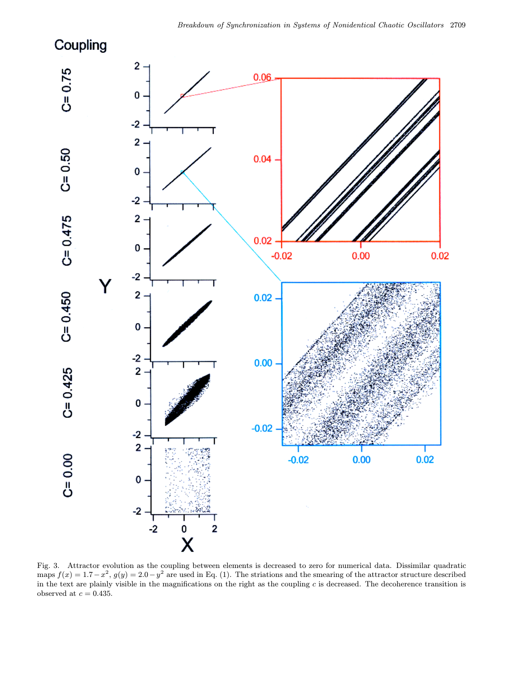# Coupling



Fig. 3. Attractor evolution as the coupling between elements is decreased to zero for numerical data. Dissimilar quadratic maps  $f(x)=1.7-x^2$ ,  $g(y)=2.0-y^2$  are used in Eq. (1). The striations and the smearing of the attractor structure described in the text are plainly visible in the magnifications on the right as the coupling  $c$  is decreased. The decoherence transition is observed at  $c=0.435.$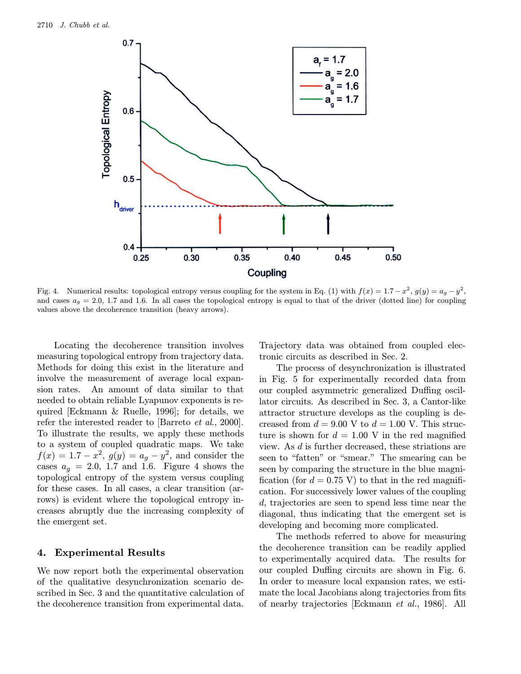

Fig. 4. Numerical results: topological entropy versus coupling for the system in Eq. (1) with  $f(x)=1.7-x^2$ ,  $g(y)=a_g-y^2$ , and cases  $a_q = 2.0$ , 1.7 and 1.6. In all cases the topological entropy is equal to that of the driver (dotted line) for coupling values above the decoherence transition (heavy arrows).

Locating the decoherence transition involves measuring topological entropy from trajectory data. Methods for doing this exist in the literature and involve the measurement of average local expansion rates. An amount of data similar to that needed to obtain reliable Lyapunov exponents is required [Eckmann & Ruelle, 1996]; for details, we refer the interested reader to [Barreto et al., 2000]. To illustrate the results, we apply these methods to a system of coupled quadratic maps. We take  $f(x) = 1.7 - x^2$ ,  $g(y) = a_g - y^2$ , and consider the cases  $a_g = 2.0, 1.7$  and 1.6. Figure 4 shows the topological entropy of the system versus coupling for these cases. In all cases, a clear transition (arrows) is evident where the topological entropy increases abruptly due the increasing complexity of the emergent set.

#### 4. Experimental Results

We now report both the experimental observation of the qualitative desynchronization scenario described in Sec. 3 and the quantitative calculation of the decoherence transition from experimental data.

Trajectory data was obtained from coupled electronic circuits as described in Sec. 2.

The process of desynchronization is illustrated in Fig. 5 for experimentally recorded data from our coupled asymmetric generalized Duffing oscillator circuits. As described in Sec. 3, a Cantor-like attractor structure develops as the coupling is decreased from  $d = 9.00$  V to  $d = 1.00$  V. This structure is shown for  $d = 1.00$  V in the red magnified view. As d is further decreased, these striations are seen to "fatten" or "smear." The smearing can be seen by comparing the structure in the blue magnification (for  $d = 0.75$  V) to that in the red magnification. For successively lower values of the coupling d, trajectories are seen to spend less time near the diagonal, thus indicating that the emergent set is developing and becoming more complicated.

The methods referred to above for measuring the decoherence transition can be readily applied to experimentally acquired data. The results for our coupled Duffing circuits are shown in Fig. 6. In order to measure local expansion rates, we estimate the local Jacobians along trajectories from fits of nearby trajectories [Eckmann et al., 1986]. All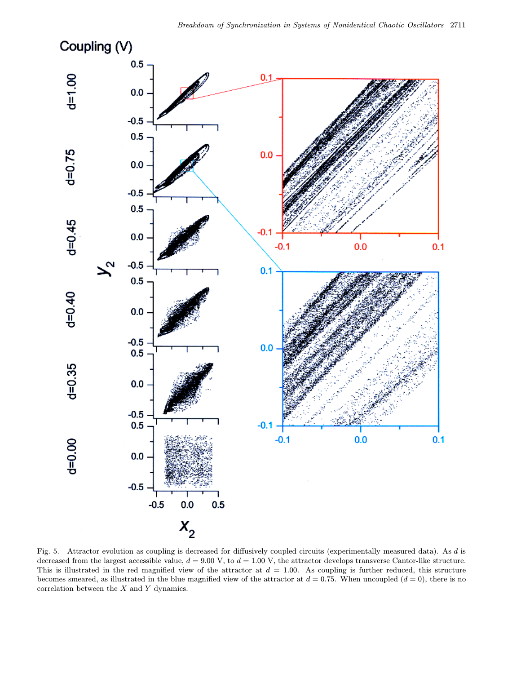

Fig. 5. Attractor evolution as coupling is decreased for diffusively coupled circuits (experimentally measured data). As d is decreased from the largest accessible value,  $d = 9.00$  V, to  $d = 1.00$  V, the attractor develops transverse Cantor-like structure. This is illustrated in the red magnified view of the attractor at  $d = 1.00$ . As coupling is further reduced, this structure becomes smeared, as illustrated in the blue magnified view of the attractor at  $d = 0.75$ . When uncoupled  $(d = 0)$ , there is no correlation between the X and Y dynamics.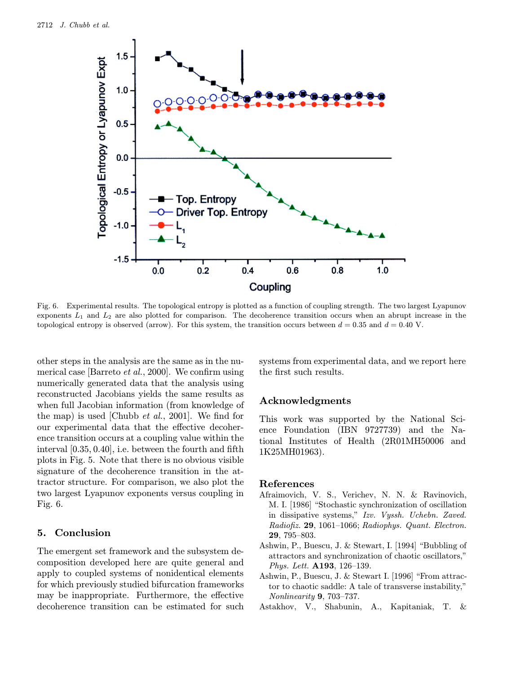

Fig. 6. Experimental results. The topological entropy is plotted as a function of coupling strength. The two largest Lyapunov exponents  $L_1$  and  $L_2$  are also plotted for comparison. The decoherence transition occurs when an abrupt increase in the topological entropy is observed (arrow). For this system, the transition occurs between  $d = 0.35$  and  $d = 0.40$  V.

other steps in the analysis are the same as in the numerical case [Barreto et al., 2000]. We confirm using numerically generated data that the analysis using reconstructed Jacobians yields the same results as when full Jacobian information (from knowledge of the map) is used [Chubb  $et \ al., 2001$ ]. We find for our experimental data that the effective decoherence transition occurs at a coupling value within the interval [0.35, 0.40], i.e. between the fourth and fifth plots in Fig. 5. Note that there is no obvious visible signature of the decoherence transition in the attractor structure. For comparison, we also plot the two largest Lyapunov exponents versus coupling in Fig. 6.

#### 5. Conclusion

The emergent set framework and the subsystem decomposition developed here are quite general and apply to coupled systems of nonidentical elements for which previously studied bifurcation frameworks may be inappropriate. Furthermore, the effective decoherence transition can be estimated for such systems from experimental data, and we report here the first such results.

#### Acknowledgments

This work was supported by the National Science Foundation (IBN 9727739) and the National Institutes of Health (2R01MH50006 and 1K25MH01963).

#### References

- Afraimovich, V. S., Verichev, N. N. & Ravinovich, M. I. [1986] "Stochastic synchronization of oscillation in dissipative systems," Izv. Vyssh. Uchebn. Zaved. Radiofiz. 29, 1061–1066; Radiophys. Quant. Electron. 29, 795–803.
- Ashwin, P., Buescu, J. & Stewart, I. [1994] "Bubbling of attractors and synchronization of chaotic oscillators," Phys. Lett. A193, 126–139.
- Ashwin, P., Buescu, J. & Stewart I. [1996] "From attractor to chaotic saddle: A tale of transverse instability," Nonlinearity 9, 703–737.
- Astakhov, V., Shabunin, A., Kapitaniak, T. &